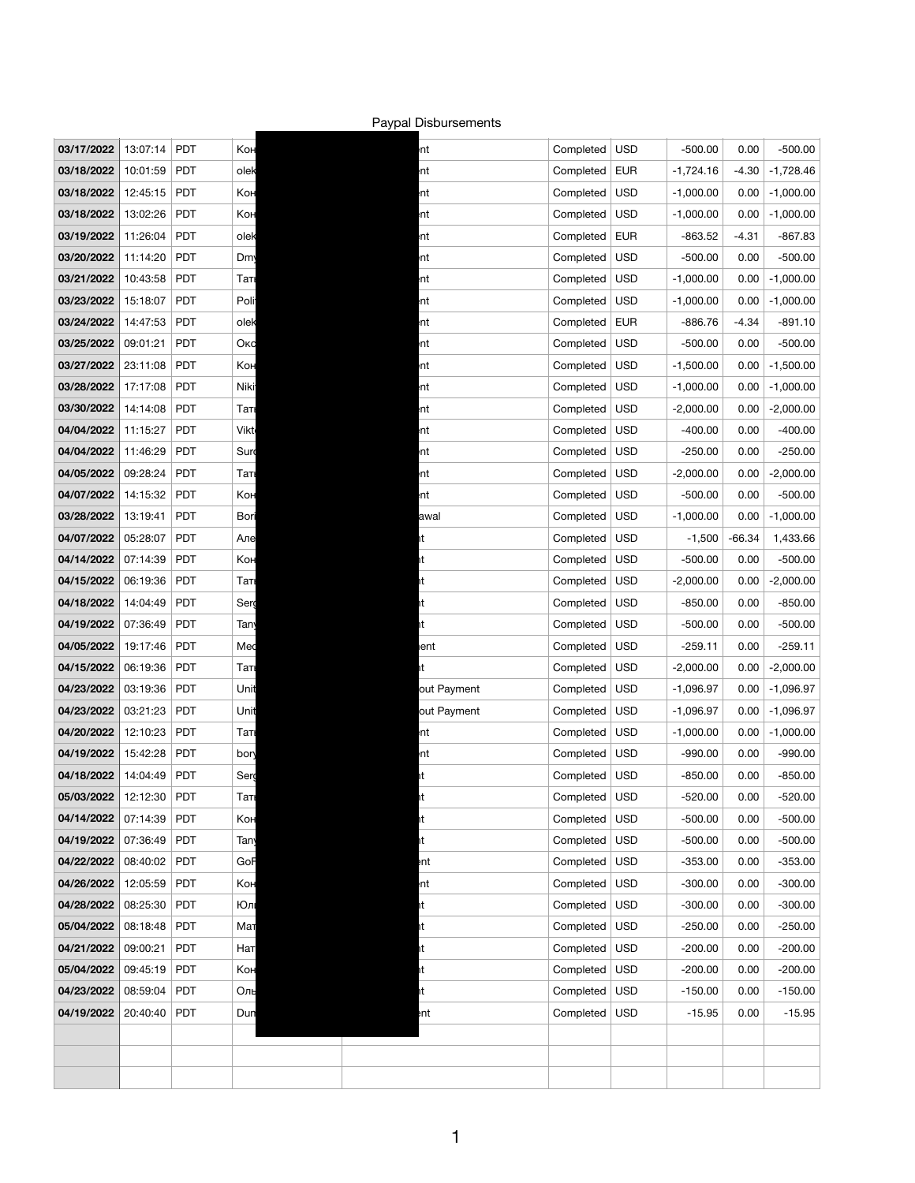| 03/17/2022        | 13:07:14 | <b>PDT</b> | Кон  |
|-------------------|----------|------------|------|
| 03/18/2022        | 10:01:59 | <b>PDT</b> | olek |
| 03/18/2022        | 12:45:15 | <b>PDT</b> | Кон  |
| 03/18/2022        | 13:02:26 | <b>PDT</b> | Кон  |
| 03/19/2022        | 11:26:04 | <b>PDT</b> | olek |
| 03/20/2022        | 11:14:20 | PDT        | Dm   |
| 03/21/2022        | 10:43:58 | PDT        | Таті |
| 03/23/2022        | 15:18:07 | <b>PDT</b> | Poli |
| 03/24/2022        | 14:47:53 | PDT        | olek |
| 03/25/2022        | 09:01:21 | PDT        | Окс  |
| 03/27/2022        | 23:11:08 | <b>PDT</b> | Кон  |
| 03/28/2022        | 17:17:08 | PDT        | Niki |
| 03/30/2022        | 14:14:08 | PDT        | Таті |
| 04/04/2022        | 11:15:27 | <b>PDT</b> | Vikt |
| 04/04/2022        | 11:46:29 | PDT        | Surd |
| 04/05/2022        | 09:28:24 | PDT        | Таті |
| 04/07/2022        | 14:15:32 | <b>PDT</b> | Кон  |
| 03/28/2022        | 13:19:41 | <b>PDT</b> | Bori |
| 04/07/2022        | 05:28:07 | PDT        | Але  |
| 04/14/2022        | 07:14:39 | <b>PDT</b> | Кон  |
| 04/15/2022        | 06:19:36 | PDT        | Таті |
| 04/18/2022        | 14:04:49 | PDT        | Serg |
| <b>04/19/2022</b> | 07:36:49 | <b>PDT</b> | Tany |
| 04/05/2022        | 19:17:46 | <b>PDT</b> | Med  |
| 04/15/2022        | 06:19:36 | PDT        | Таті |
| 04/23/2022        | 03:19:36 | <b>PDT</b> | Unit |
| 04/23/2022        | 03:21:23 | <b>PDT</b> | Unit |
| 04/20/2022        | 12:10:23 | PDT        | Таті |
| 04/19/2022        | 15:42:28 | PDT        | bon  |
| 04/18/2022        | 14:04:49 | <b>PDT</b> | Serd |
| 05/03/2022        | 12:12:30 | <b>PDT</b> | Таті |
| 04/14/2022        | 07:14:39 | PDT        | Кон  |
| 04/19/2022        | 07:36:49 | PDT        | Tany |
| 04/22/2022        | 08:40:02 | <b>PDT</b> | GoF  |
| 04/26/2022        | 12:05:59 | PDT        | Кон  |
| 04/28/2022        | 08:25:30 | PDT        | Юлі  |
| 05/04/2022        | 08:18:48 | <b>PDT</b> | Мат  |
| 04/21/2022        | 09:00:21 | PDT        | Нат  |
| 05/04/2022        | 09:45:19 | PDT        | Кон  |
| 04/23/2022        | 08:59:04 | <b>PDT</b> | Оль  |
| 04/19/2022        | 20:40:40 | <b>PDT</b> | Dun  |

## Paypal Disbursements

| 03/17/2022 | 13:07:14 | <b>PDT</b> | Кон       | ht          | Completed | <b>USD</b> | $-500.00$   | 0.00     | $-500.00$   |
|------------|----------|------------|-----------|-------------|-----------|------------|-------------|----------|-------------|
| 03/18/2022 | 10:01:59 | <b>PDT</b> | olek      | nt          | Completed | <b>EUR</b> | $-1,724.16$ | $-4.30$  | $-1,728.46$ |
| 03/18/2022 | 12:45:15 | <b>PDT</b> | Кон       | ht          | Completed | <b>USD</b> | $-1,000.00$ | 0.00     | $-1,000.00$ |
| 03/18/2022 | 13:02:26 | <b>PDT</b> | Кон       | nt          | Completed | <b>USD</b> | $-1,000.00$ | 0.00     | $-1,000.00$ |
| 03/19/2022 | 11:26:04 | <b>PDT</b> | olek      | nt          | Completed | <b>EUR</b> | $-863.52$   | $-4.31$  | $-867.83$   |
| 03/20/2022 | 11:14:20 | <b>PDT</b> | <b>Dm</b> | ht          | Completed | <b>USD</b> | $-500.00$   | 0.00     | $-500.00$   |
| 03/21/2022 | 10:43:58 | <b>PDT</b> | Таті      | nt          | Completed | <b>USD</b> | $-1,000.00$ | 0.00     | $-1,000.00$ |
| 03/23/2022 | 15:18:07 | <b>PDT</b> | Poli      | nt          | Completed | <b>USD</b> | $-1,000.00$ | 0.00     | $-1,000.00$ |
| 03/24/2022 | 14:47:53 | <b>PDT</b> | olek      | nt          | Completed | <b>EUR</b> | $-886.76$   | $-4.34$  | $-891.10$   |
| 03/25/2022 | 09:01:21 | <b>PDT</b> | Окс       | nt          | Completed | <b>USD</b> | $-500.00$   | 0.00     | $-500.00$   |
| 03/27/2022 | 23:11:08 | <b>PDT</b> | Кон       | nt          | Completed | <b>USD</b> | $-1,500.00$ | 0.00     | $-1,500.00$ |
| 03/28/2022 | 17:17:08 | <b>PDT</b> | Niki      | ht          | Completed | <b>USD</b> | $-1,000.00$ | 0.00     | $-1,000.00$ |
| 03/30/2022 | 14:14:08 | <b>PDT</b> | Таті      | nt          | Completed | <b>USD</b> | $-2,000.00$ | 0.00     | $-2,000.00$ |
| 04/04/2022 | 11:15:27 | <b>PDT</b> | Vikt      | nt          | Completed | <b>USD</b> | $-400.00$   | 0.00     | $-400.00$   |
| 04/04/2022 | 11:46:29 | <b>PDT</b> | Sur       | ht          | Completed | <b>USD</b> | $-250.00$   | 0.00     | $-250.00$   |
| 04/05/2022 | 09:28:24 | <b>PDT</b> | Таті      | nt          | Completed | <b>USD</b> | $-2,000.00$ | 0.00     | $-2,000.00$ |
| 04/07/2022 | 14:15:32 | <b>PDT</b> | Кон       | mt          | Completed | <b>USD</b> | $-500.00$   | 0.00     | $-500.00$   |
| 03/28/2022 | 13:19:41 | <b>PDT</b> | Bori      | awal        | Completed | <b>USD</b> | $-1,000.00$ | 0.00     | $-1,000.00$ |
| 04/07/2022 | 05:28:07 | <b>PDT</b> | Але       | ht.         | Completed | <b>USD</b> | $-1,500$    | $-66.34$ | 1,433.66    |
| 04/14/2022 | 07:14:39 | <b>PDT</b> | Кон       | ht          | Completed | <b>USD</b> | $-500.00$   | 0.00     | $-500.00$   |
| 04/15/2022 | 06:19:36 | <b>PDT</b> | Таті      | ht          | Completed | <b>USD</b> | $-2,000.00$ | 0.00     | $-2,000.00$ |
| 04/18/2022 | 14:04:49 | <b>PDT</b> | Serg      | ht.         | Completed | <b>USD</b> | $-850.00$   | 0.00     | $-850.00$   |
| 04/19/2022 | 07:36:49 | <b>PDT</b> | Tany      |             | Completed | USD        | $-500.00$   | 0.00     | $-500.00$   |
| 04/05/2022 | 19:17:46 | <b>PDT</b> | Med       | ent         | Completed | <b>USD</b> | $-259.11$   | 0.00     | $-259.11$   |
| 04/15/2022 | 06:19:36 | <b>PDT</b> | Таті      | ht.         | Completed | <b>USD</b> | $-2,000.00$ | 0.00     | $-2,000.00$ |
| 04/23/2022 | 03:19:36 | <b>PDT</b> | Unit      | out Payment | Completed | <b>USD</b> | $-1,096.97$ | 0.00     | $-1,096.97$ |
| 04/23/2022 | 03:21:23 | <b>PDT</b> | Unit      | out Payment | Completed | <b>USD</b> | $-1,096.97$ | 0.00     | $-1,096.97$ |
| 04/20/2022 | 12:10:23 | <b>PDT</b> | Таті      | nt          | Completed | <b>USD</b> | $-1,000.00$ | 0.00     | $-1,000.00$ |
| 04/19/2022 | 15:42:28 | <b>PDT</b> | bon       | ht          | Completed | <b>USD</b> | $-990.00$   | 0.00     | $-990.00$   |
| 04/18/2022 | 14:04:49 | <b>PDT</b> | Serg      | ht          | Completed | <b>USD</b> | $-850.00$   | 0.00     | $-850.00$   |
| 05/03/2022 | 12:12:30 | <b>PDT</b> | Таті      | ht          | Completed | <b>USD</b> | $-520.00$   | 0.00     | $-520.00$   |
| 04/14/2022 | 07:14:39 | <b>PDT</b> | Кон       | ht          | Completed | <b>USD</b> | $-500.00$   | 0.00     | $-500.00$   |
| 04/19/2022 | 07:36:49 | <b>PDT</b> | Tany      | ht          | Completed | <b>USD</b> | $-500.00$   | 0.00     | $-500.00$   |
| 04/22/2022 | 08:40:02 | <b>PDT</b> | GoF       | ent         | Completed | <b>USD</b> | $-353.00$   | 0.00     | $-353.00$   |
| 04/26/2022 | 12:05:59 | <b>PDT</b> | Кон       | nt          | Completed | <b>USD</b> | $-300.00$   | 0.00     | $-300.00$   |
| 04/28/2022 | 08:25:30 | <b>PDT</b> | Юл        | ht          | Completed | <b>USD</b> | $-300.00$   | 0.00     | $-300.00$   |
| 05/04/2022 | 08:18:48 | <b>PDT</b> | Мат       | ht          | Completed | <b>USD</b> | $-250.00$   | 0.00     | $-250.00$   |
| 04/21/2022 | 09:00:21 | <b>PDT</b> | Нат       | ht          | Completed | <b>USD</b> | $-200.00$   | 0.00     | $-200.00$   |
| 05/04/2022 | 09:45:19 | <b>PDT</b> | Кон       | ht          | Completed | <b>USD</b> | $-200.00$   | 0.00     | $-200.00$   |
| 04/23/2022 | 08:59:04 | <b>PDT</b> | Оль       | ht          | Completed | <b>USD</b> | $-150.00$   | 0.00     | $-150.00$   |
| 04/19/2022 | 20:40:40 | <b>PDT</b> | Dun       | ent         | Completed | <b>USD</b> | $-15.95$    | 0.00     | $-15.95$    |
|            |          |            |           |             |           |            |             |          |             |
|            |          |            |           |             |           |            |             |          |             |
|            |          |            |           |             |           |            |             |          |             |